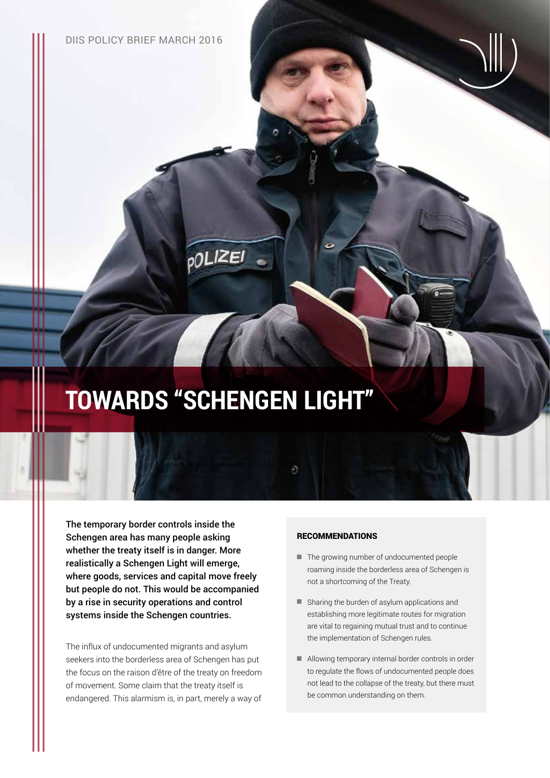DIIS POLICY BRIEF MARCH 2016

# **TOWARDS "SCHENGEN LIGHT"**

**POLIZEI** 

The temporary border controls inside the Schengen area has many people asking whether the treaty itself is in danger. More realistically a Schengen Light will emerge, where goods, services and capital move freely but people do not. This would be accompanied by a rise in security operations and control systems inside the Schengen countries.

The influx of undocumented migrants and asylum seekers into the borderless area of Schengen has put the focus on the raison d'être of the treaty on freedom of movement. Some claim that the treaty itself is endangered. This alarmism is, in part, merely a way of

#### RECOMMENDATIONS

 $\overline{c}$ 

- The growing number of undocumented people roaming inside the borderless area of Schengen is not a shortcoming of the Treaty.
- Sharing the burden of asylum applications and establishing more legitimate routes for migration are vital to regaining mutual trust and to continue the implementation of Schengen rules.
- Allowing temporary internal border controls in order to regulate the flows of undocumented people does not lead to the collapse of the treaty, but there must be common understanding on them.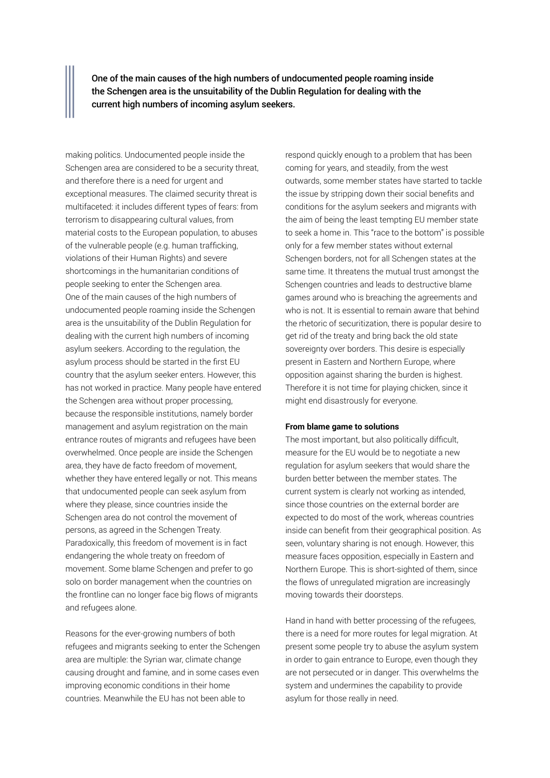One of the main causes of the high numbers of undocumented people roaming inside the Schengen area is the unsuitability of the Dublin Regulation for dealing with the current high numbers of incoming asylum seekers.

making politics. Undocumented people inside the Schengen area are considered to be a security threat, and therefore there is a need for urgent and exceptional measures. The claimed security threat is multifaceted: it includes different types of fears: from terrorism to disappearing cultural values, from material costs to the European population, to abuses of the vulnerable people (e.g. human trafficking, violations of their Human Rights) and severe shortcomings in the humanitarian conditions of people seeking to enter the Schengen area. One of the main causes of the high numbers of undocumented people roaming inside the Schengen area is the unsuitability of the Dublin Regulation for dealing with the current high numbers of incoming asylum seekers. According to the regulation, the asylum process should be started in the first EU country that the asylum seeker enters. However, this has not worked in practice. Many people have entered the Schengen area without proper processing, because the responsible institutions, namely border management and asylum registration on the main entrance routes of migrants and refugees have been overwhelmed. Once people are inside the Schengen area, they have de facto freedom of movement, whether they have entered legally or not. This means that undocumented people can seek asylum from where they please, since countries inside the Schengen area do not control the movement of persons, as agreed in the Schengen Treaty. Paradoxically, this freedom of movement is in fact endangering the whole treaty on freedom of movement. Some blame Schengen and prefer to go solo on border management when the countries on the frontline can no longer face big flows of migrants and refugees alone.

Reasons for the ever-growing numbers of both refugees and migrants seeking to enter the Schengen area are multiple: the Syrian war, climate change causing drought and famine, and in some cases even improving economic conditions in their home countries. Meanwhile the EU has not been able to

respond quickly enough to a problem that has been coming for years, and steadily, from the west outwards, some member states have started to tackle the issue by stripping down their social benefits and conditions for the asylum seekers and migrants with the aim of being the least tempting EU member state to seek a home in. This "race to the bottom" is possible only for a few member states without external Schengen borders, not for all Schengen states at the same time. It threatens the mutual trust amongst the Schengen countries and leads to destructive blame games around who is breaching the agreements and who is not. It is essential to remain aware that behind the rhetoric of securitization, there is popular desire to get rid of the treaty and bring back the old state sovereignty over borders. This desire is especially present in Eastern and Northern Europe, where opposition against sharing the burden is highest. Therefore it is not time for playing chicken, since it might end disastrously for everyone.

#### **From blame game to solutions**

The most important, but also politically difficult, measure for the EU would be to negotiate a new regulation for asylum seekers that would share the burden better between the member states. The current system is clearly not working as intended, since those countries on the external border are expected to do most of the work, whereas countries inside can benefit from their geographical position. As seen, voluntary sharing is not enough. However, this measure faces opposition, especially in Eastern and Northern Europe. This is short-sighted of them, since the flows of unregulated migration are increasingly moving towards their doorsteps.

Hand in hand with better processing of the refugees, there is a need for more routes for legal migration. At present some people try to abuse the asylum system in order to gain entrance to Europe, even though they are not persecuted or in danger. This overwhelms the system and undermines the capability to provide asylum for those really in need.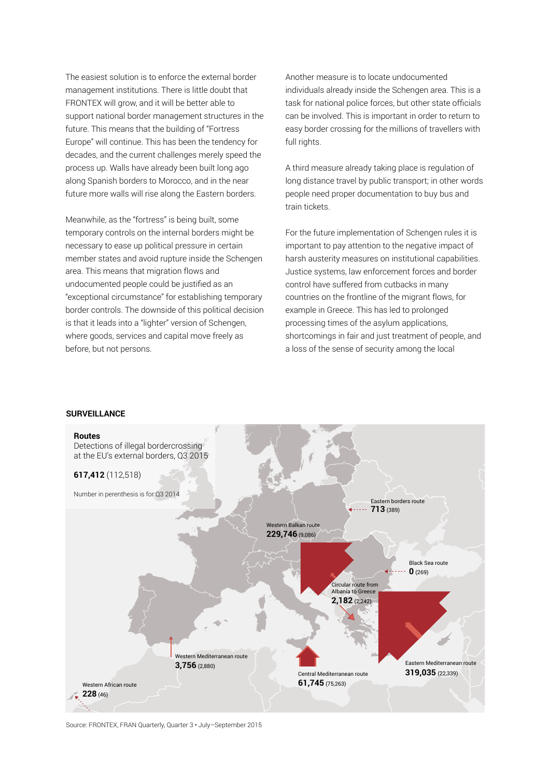The easiest solution is to enforce the external border management institutions. There is little doubt that FRONTEX will grow, and it will be better able to support national border management structures in the future. This means that the building of "Fortress Europe" will continue. This has been the tendency for decades, and the current challenges merely speed the process up. Walls have already been built long ago along Spanish borders to Morocco, and in the near future more walls will rise along the Eastern borders.

Meanwhile, as the "fortress" is being built, some temporary controls on the internal borders might be necessary to ease up political pressure in certain member states and avoid rupture inside the Schengen area. This means that migration flows and undocumented people could be justified as an "exceptional circumstance" for establishing temporary border controls. The downside of this political decision is that it leads into a "lighter" version of Schengen, where goods, services and capital move freely as before, but not persons.

Another measure is to locate undocumented individuals already inside the Schengen area. This is a task for national police forces, but other state officials can be involved. This is important in order to return to easy border crossing for the millions of travellers with full rights.

A third measure already taking place is regulation of long distance travel by public transport; in other words people need proper documentation to buy bus and train tickets.

For the future implementation of Schengen rules it is important to pay attention to the negative impact of harsh austerity measures on institutional capabilities. Justice systems, law enforcement forces and border control have suffered from cutbacks in many countries on the frontline of the migrant flows, for example in Greece. This has led to prolonged processing times of the asylum applications, shortcomings in fair and just treatment of people, and a loss of the sense of security among the local

### **SURVEILLANCE**



Source: FRONTEX, FRAN Quarterly, Quarter 3 • July–September 2015